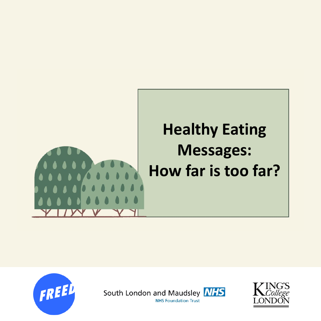







**NHS Foundation Trust**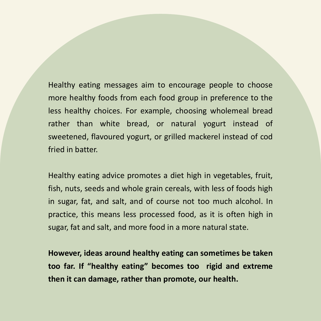Healthy eating messages aim to encourage people to choose more healthy foods from each food group in preference to the less healthy choices. For example, choosing wholemeal bread rather than white bread, or natural yogurt instead of sweetened, flavoured yogurt, or grilled mackerel instead of cod fried in batter.

Healthy eating advice promotes a diet high in vegetables, fruit, fish, nuts, seeds and whole grain cereals, with less of foods high in sugar, fat, and salt, and of course not too much alcohol. In practice, this means less processed food, as it is often high in sugar, fat and salt, and more food in a more natural state.

**However, ideas around healthy eating can sometimes be taken too far. If "healthy eating" becomes too rigid and extreme then it can damage, rather than promote, our health.**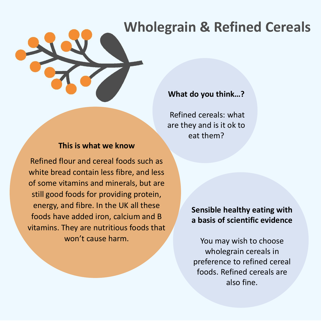### **Wholegrain & Refined Cereals**

#### **What do you think…?**

Refined cereals: what are they and is it ok to eat them?

#### **This is what we know**

Refined flour and cereal foods such as white bread contain less fibre, and less of some vitamins and minerals, but are still good foods for providing protein, energy, and fibre. In the UK all these foods have added iron, calcium and B vitamins. They are nutritious foods that won't cause harm.

#### **Sensible healthy eating with a basis of scientific evidence**

You may wish to choose wholegrain cereals in preference to refined cereal foods. Refined cereals are also fine.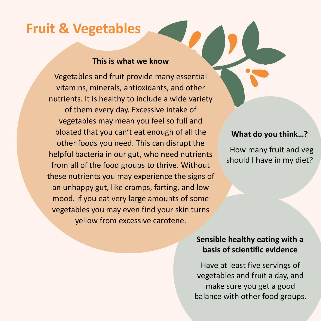### **Fruit & Vegetables**

#### **This is what we know**

Vegetables and fruit provide many essential vitamins, minerals, antioxidants, and other nutrients. It is healthy to include a wide variety of them every day. Excessive intake of vegetables may mean you feel so full and bloated that you can't eat enough of all the other foods you need. This can disrupt the helpful bacteria in our gut, who need nutrients from all of the food groups to thrive. Without these nutrients you may experience the signs of an unhappy gut, like cramps, farting, and low mood. if you eat very large amounts of some vegetables you may even find your skin turns yellow from excessive carotene.

#### **What do you think…?**

How many fruit and veg should I have in my diet?

#### **Sensible healthy eating with a basis of scientific evidence**

Have at least five servings of vegetables and fruit a day, and make sure you get a good balance with other food groups.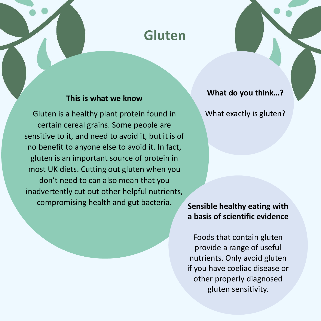### **Gluten**

#### **This is what we know**

Gluten is a healthy plant protein found in certain cereal grains. Some people are sensitive to it, and need to avoid it, but it is of no benefit to anyone else to avoid it. In fact, gluten is an important source of protein in most UK diets. Cutting out gluten when you don't need to can also mean that you inadvertently cut out other helpful nutrients, compromising health and gut bacteria.

**What do you think…?**

What exactly is gluten?

#### **Sensible healthy eating with a basis of scientific evidence**

Foods that contain gluten provide a range of useful nutrients. Only avoid gluten if you have coeliac disease or other properly diagnosed gluten sensitivity.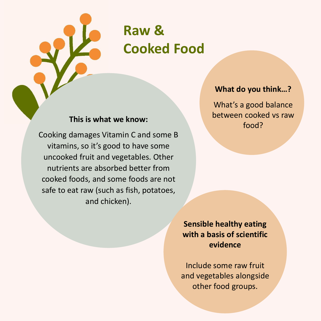

## **Raw & Cooked Food**

#### **This is what we know:**

Cooking damages Vitamin C and some B vitamins, so it's good to have some uncooked fruit and vegetables. Other nutrients are absorbed better from cooked foods, and some foods are not safe to eat raw (such as fish, potatoes, and chicken).

#### **What do you think…?**

What's a good balance between cooked vs raw food?

**Sensible healthy eating with a basis of scientific evidence**

Include some raw fruit and vegetables alongside other food groups.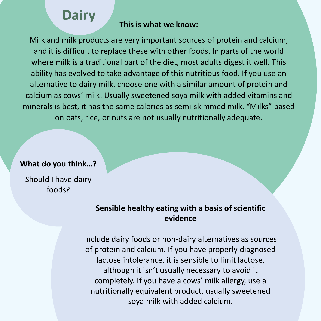### **Dairy**

#### **This is what we know:**

Milk and milk products are very important sources of protein and calcium, and it is difficult to replace these with other foods. In parts of the world where milk is a traditional part of the diet, most adults digest it well. This ability has evolved to take advantage of this nutritious food. If you use an alternative to dairy milk, choose one with a similar amount of protein and calcium as cows' milk. Usually sweetened soya milk with added vitamins and minerals is best, it has the same calories as semi-skimmed milk. "Milks" based on oats, rice, or nuts are not usually nutritionally adequate.

#### **What do you think…?**

Should I have dairy foods?

#### **Sensible healthy eating with a basis of scientific evidence**

Include dairy foods or non-dairy alternatives as sources of protein and calcium. If you have properly diagnosed lactose intolerance, it is sensible to limit lactose, although it isn't usually necessary to avoid it completely. If you have a cows' milk allergy, use a nutritionally equivalent product, usually sweetened soya milk with added calcium.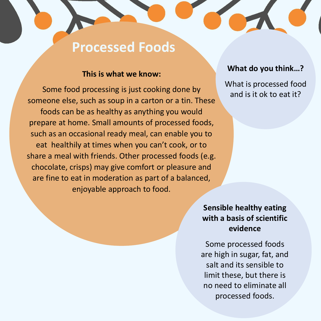### **Processed Foods**

#### **This is what we know:**

Some food processing is just cooking done by someone else, such as soup in a carton or a tin. These foods can be as healthy as anything you would prepare at home. Small amounts of processed foods, such as an occasional ready meal, can enable you to eat healthily at times when you can't cook, or to share a meal with friends. Other processed foods (e.g. chocolate, crisps) may give comfort or pleasure and are fine to eat in moderation as part of a balanced, enjoyable approach to food.

#### **What do you think…?**

What is processed food and is it ok to eat it?

#### **Sensible healthy eating with a basis of scientific evidence**

Some processed foods are high in sugar, fat, and salt and its sensible to limit these, but there is no need to eliminate all processed foods.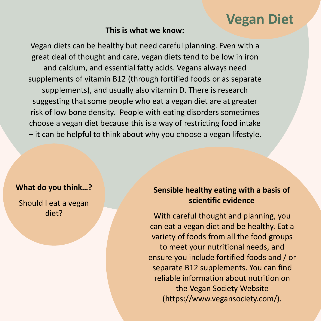### **Vegan Diet**

#### **This is what we know:**

Vegan diets can be healthy but need careful planning. Even with a great deal of thought and care, vegan diets tend to be low in iron and calcium, and essential fatty acids. Vegans always need supplements of vitamin B12 (through fortified foods or as separate supplements), and usually also vitamin D. There is research suggesting that some people who eat a vegan diet are at greater risk of low bone density. People with eating disorders sometimes choose a vegan diet because this is a way of restricting food intake – it can be helpful to think about why you choose a vegan lifestyle.

#### **What do you think…?**

Should I eat a vegan diet?

#### **Sensible healthy eating with a basis of scientific evidence**

With careful thought and planning, you can eat a vegan diet and be healthy. Eat a variety of foods from all the food groups to meet your nutritional needs, and ensure you include fortified foods and / or separate B12 supplements. You can find reliable information about nutrition on the Vegan Society Website (https://www.vegansociety.com/).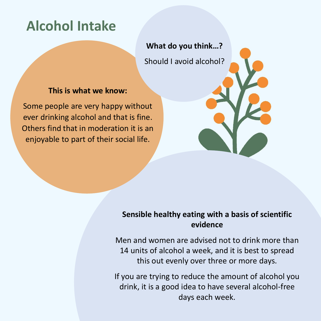### **Alcohol Intake**

**What do you think…?** Should I avoid alcohol?

#### **This is what we know:**

Some people are very happy without ever drinking alcohol and that is fine. Others find that in moderation it is an enjoyable to part of their social life.

#### **Sensible healthy eating with a basis of scientific evidence**

Men and women are advised not to drink more than 14 units of alcohol a week, and it is best to spread this out evenly over three or more days.

If you are trying to reduce the amount of alcohol you drink, it is a good idea to have several alcohol-free days each week.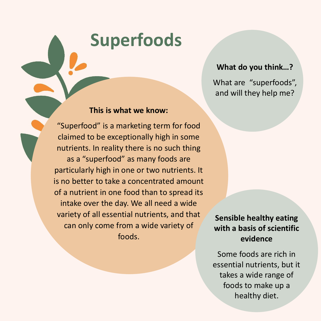# **Superfoods**

#### **What do you think…?**

What are "superfoods", and will they help me?

#### **This is what we know:**

"Superfood" is a marketing term for food claimed to be exceptionally high in some nutrients. In reality there is no such thing as a "superfood" as many foods are particularly high in one or two nutrients. It is no better to take a concentrated amount of a nutrient in one food than to spread its intake over the day. We all need a wide variety of all essential nutrients, and that can only come from a wide variety of foods.

**Sensible healthy eating with a basis of scientific evidence**

Some foods are rich in essential nutrients, but it takes a wide range of foods to make up a healthy diet.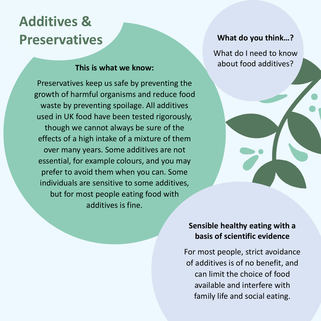# **Additives & Preservatives**

#### **This is what we know:**

Preservatives keep us safe by preventing the growth of harmful organisms and reduce food waste by preventing spoilage. All additives used in UK food have been tested rigorously, though we cannot always be sure of the effects of a high intake of a mixture of them over many years. Some additives are not essential, for example colours, and you may prefer to avoid them when you can. Some individuals are sensitive to some additives, but for most people eating food with additives is fine.

#### **What do you think…?**

What do I need to know about food additives?



For most people, strict avoidance of additives is of no benefit, and can limit the choice of food available and interfere with family life and social eating.